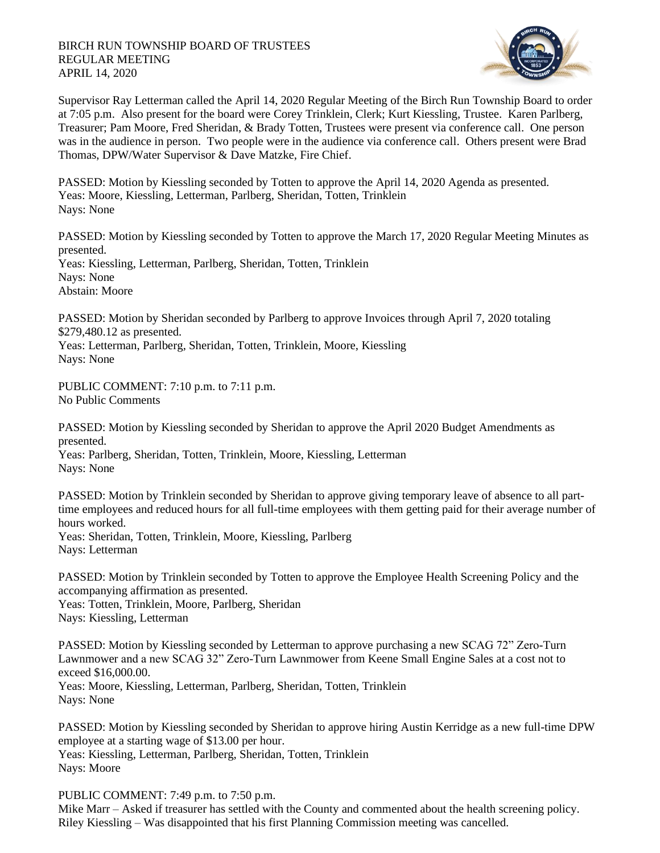

Supervisor Ray Letterman called the April 14, 2020 Regular Meeting of the Birch Run Township Board to order at 7:05 p.m. Also present for the board were Corey Trinklein, Clerk; Kurt Kiessling, Trustee. Karen Parlberg, Treasurer; Pam Moore, Fred Sheridan, & Brady Totten, Trustees were present via conference call. One person was in the audience in person. Two people were in the audience via conference call. Others present were Brad Thomas, DPW/Water Supervisor & Dave Matzke, Fire Chief.

PASSED: Motion by Kiessling seconded by Totten to approve the April 14, 2020 Agenda as presented. Yeas: Moore, Kiessling, Letterman, Parlberg, Sheridan, Totten, Trinklein Nays: None

PASSED: Motion by Kiessling seconded by Totten to approve the March 17, 2020 Regular Meeting Minutes as presented. Yeas: Kiessling, Letterman, Parlberg, Sheridan, Totten, Trinklein Nays: None Abstain: Moore

PASSED: Motion by Sheridan seconded by Parlberg to approve Invoices through April 7, 2020 totaling \$279,480.12 as presented.

Yeas: Letterman, Parlberg, Sheridan, Totten, Trinklein, Moore, Kiessling Nays: None

PUBLIC COMMENT: 7:10 p.m. to 7:11 p.m. No Public Comments

PASSED: Motion by Kiessling seconded by Sheridan to approve the April 2020 Budget Amendments as presented.

Yeas: Parlberg, Sheridan, Totten, Trinklein, Moore, Kiessling, Letterman Nays: None

PASSED: Motion by Trinklein seconded by Sheridan to approve giving temporary leave of absence to all parttime employees and reduced hours for all full-time employees with them getting paid for their average number of hours worked.

Yeas: Sheridan, Totten, Trinklein, Moore, Kiessling, Parlberg Nays: Letterman

PASSED: Motion by Trinklein seconded by Totten to approve the Employee Health Screening Policy and the accompanying affirmation as presented.

Yeas: Totten, Trinklein, Moore, Parlberg, Sheridan Nays: Kiessling, Letterman

PASSED: Motion by Kiessling seconded by Letterman to approve purchasing a new SCAG 72" Zero-Turn Lawnmower and a new SCAG 32" Zero-Turn Lawnmower from Keene Small Engine Sales at a cost not to exceed \$16,000.00. Yeas: Moore, Kiessling, Letterman, Parlberg, Sheridan, Totten, Trinklein Nays: None

PASSED: Motion by Kiessling seconded by Sheridan to approve hiring Austin Kerridge as a new full-time DPW employee at a starting wage of \$13.00 per hour. Yeas: Kiessling, Letterman, Parlberg, Sheridan, Totten, Trinklein Nays: Moore

PUBLIC COMMENT: 7:49 p.m. to 7:50 p.m.

Mike Marr – Asked if treasurer has settled with the County and commented about the health screening policy. Riley Kiessling – Was disappointed that his first Planning Commission meeting was cancelled.